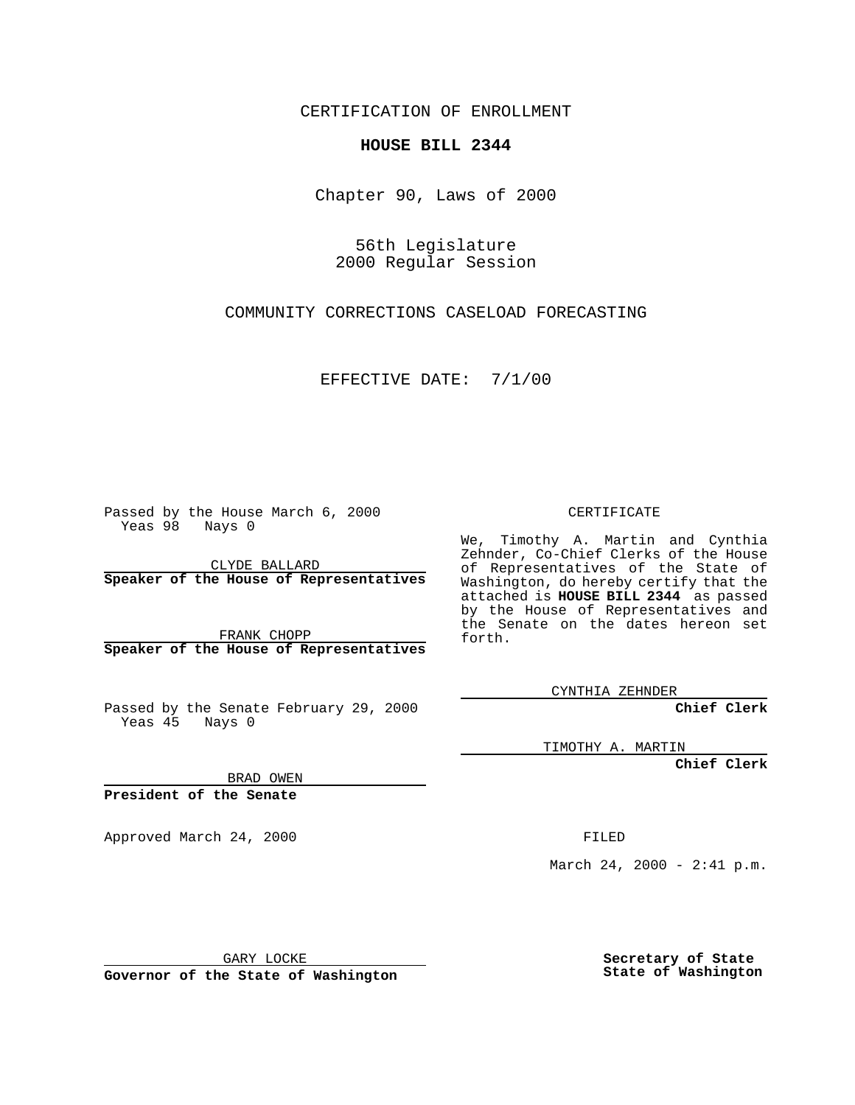CERTIFICATION OF ENROLLMENT

## **HOUSE BILL 2344**

Chapter 90, Laws of 2000

56th Legislature 2000 Regular Session

COMMUNITY CORRECTIONS CASELOAD FORECASTING

EFFECTIVE DATE: 7/1/00

Passed by the House March 6, 2000 Yeas 98 Nays 0

CLYDE BALLARD **Speaker of the House of Representatives**

FRANK CHOPP **Speaker of the House of Representatives**

Passed by the Senate February 29, 2000 Yeas 45 Nays 0

CERTIFICATE

We, Timothy A. Martin and Cynthia Zehnder, Co-Chief Clerks of the House of Representatives of the State of Washington, do hereby certify that the attached is **HOUSE BILL 2344** as passed by the House of Representatives and the Senate on the dates hereon set forth.

CYNTHIA ZEHNDER

**Chief Clerk**

TIMOTHY A. MARTIN

**Chief Clerk**

BRAD OWEN

**President of the Senate**

Approved March 24, 2000 FILED

March 24, 2000 - 2:41 p.m.

GARY LOCKE

**Governor of the State of Washington**

**Secretary of State State of Washington**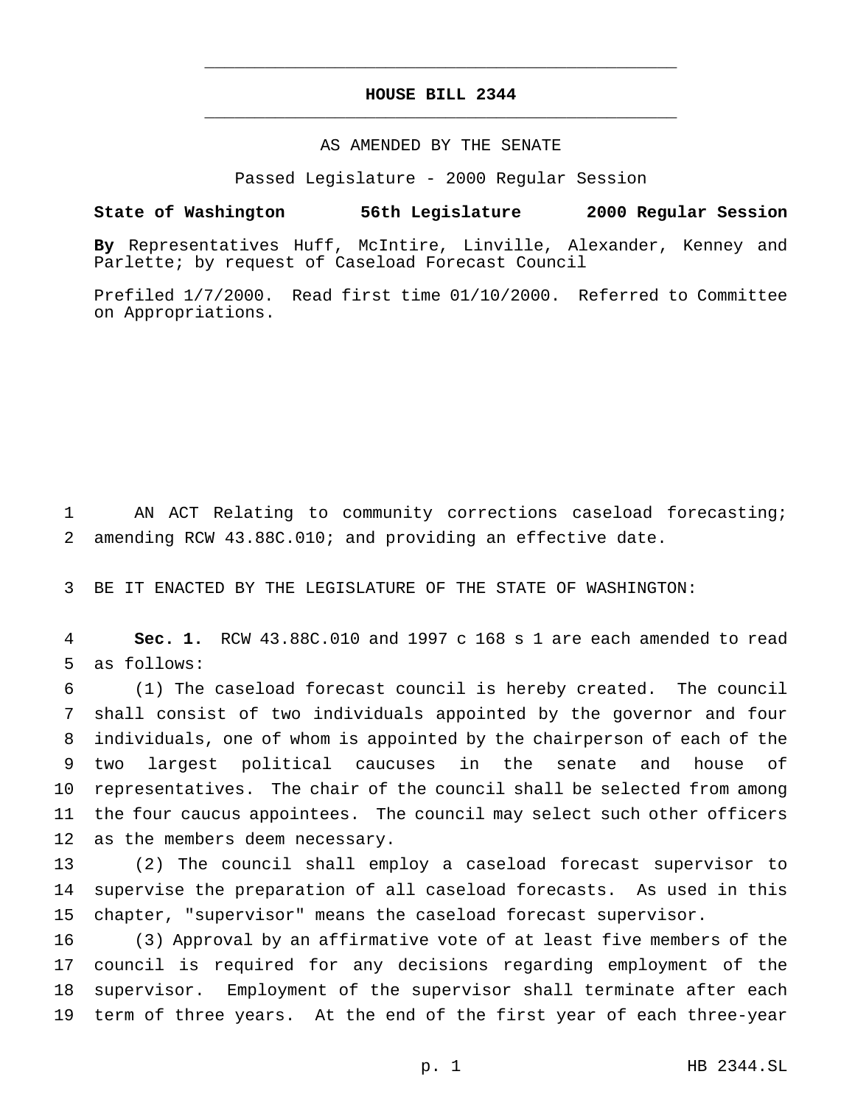## **HOUSE BILL 2344** \_\_\_\_\_\_\_\_\_\_\_\_\_\_\_\_\_\_\_\_\_\_\_\_\_\_\_\_\_\_\_\_\_\_\_\_\_\_\_\_\_\_\_\_\_\_\_

\_\_\_\_\_\_\_\_\_\_\_\_\_\_\_\_\_\_\_\_\_\_\_\_\_\_\_\_\_\_\_\_\_\_\_\_\_\_\_\_\_\_\_\_\_\_\_

## AS AMENDED BY THE SENATE

Passed Legislature - 2000 Regular Session

## **State of Washington 56th Legislature 2000 Regular Session**

**By** Representatives Huff, McIntire, Linville, Alexander, Kenney and Parlette; by request of Caseload Forecast Council

Prefiled 1/7/2000. Read first time 01/10/2000. Referred to Committee on Appropriations.

 AN ACT Relating to community corrections caseload forecasting; amending RCW 43.88C.010; and providing an effective date.

BE IT ENACTED BY THE LEGISLATURE OF THE STATE OF WASHINGTON:

 **Sec. 1.** RCW 43.88C.010 and 1997 c 168 s 1 are each amended to read as follows:

 (1) The caseload forecast council is hereby created. The council shall consist of two individuals appointed by the governor and four individuals, one of whom is appointed by the chairperson of each of the two largest political caucuses in the senate and house of representatives. The chair of the council shall be selected from among the four caucus appointees. The council may select such other officers as the members deem necessary.

 (2) The council shall employ a caseload forecast supervisor to supervise the preparation of all caseload forecasts. As used in this chapter, "supervisor" means the caseload forecast supervisor.

 (3) Approval by an affirmative vote of at least five members of the council is required for any decisions regarding employment of the supervisor. Employment of the supervisor shall terminate after each term of three years. At the end of the first year of each three-year